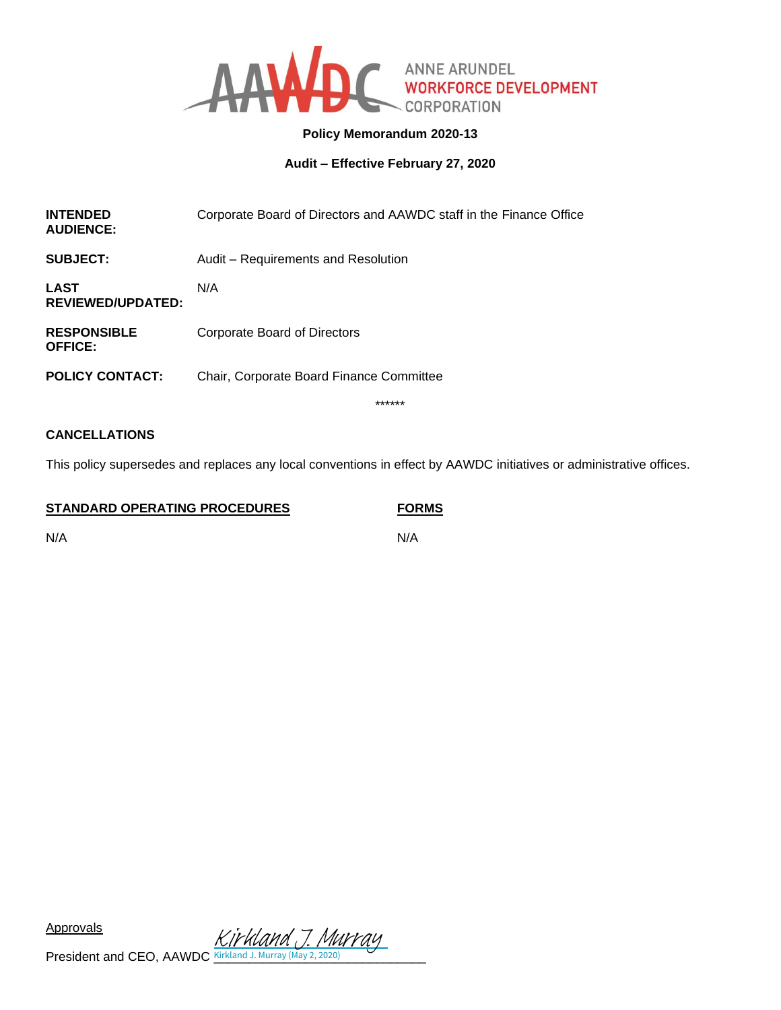

# **Policy Memorandum 2020-13**

**Audit – Effective February 27, 2020**

| <b>INTENDED</b><br><b>AUDIENCE:</b>     | Corporate Board of Directors and AAWDC staff in the Finance Office |
|-----------------------------------------|--------------------------------------------------------------------|
| SUBJECT:                                | Audit - Requirements and Resolution                                |
| <b>LAST</b><br><b>REVIEWED/UPDATED:</b> | N/A                                                                |
| <b>RESPONSIBLE</b><br><b>OFFICE:</b>    | Corporate Board of Directors                                       |
| <b>POLICY CONTACT:</b>                  | Chair, Corporate Board Finance Committee                           |
|                                         | ******                                                             |

# **CANCELLATIONS**

This policy supersedes and replaces any local conventions in effect by AAWDC initiatives or administrative offices.

**STANDARD OPERATING PROCEDURES FORMS**

N/A N/A

Approvals

 $Rippious$ <br>President and CEO, AAWDC  $\frac{KifKland J. Murray}{Kirkland J. Murray (May 2, 2020)}$  $\frac{KifKland J. Murray}{Kirkland J. Murray (May 2, 2020)}$  $\frac{KifKland J. Murray}{Kirkland J. Murray (May 2, 2020)}$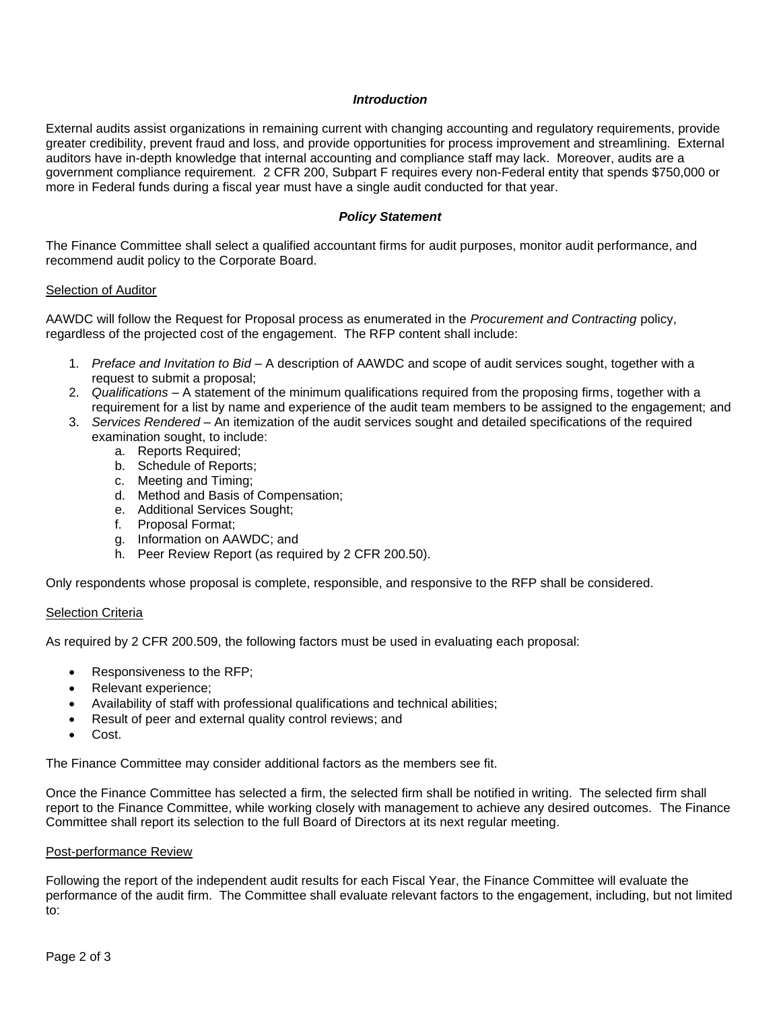### *Introduction*

External audits assist organizations in remaining current with changing accounting and regulatory requirements, provide greater credibility, prevent fraud and loss, and provide opportunities for process improvement and streamlining. External auditors have in-depth knowledge that internal accounting and compliance staff may lack. Moreover, audits are a government compliance requirement. 2 CFR 200, Subpart F requires every non-Federal entity that spends \$750,000 or more in Federal funds during a fiscal year must have a single audit conducted for that year.

### *Policy Statement*

The Finance Committee shall select a qualified accountant firms for audit purposes, monitor audit performance, and recommend audit policy to the Corporate Board.

### Selection of Auditor

AAWDC will follow the Request for Proposal process as enumerated in the *Procurement and Contracting* policy, regardless of the projected cost of the engagement. The RFP content shall include:

- 1. *Preface and Invitation to Bid* A description of AAWDC and scope of audit services sought, together with a request to submit a proposal;
- 2. *Qualifications* A statement of the minimum qualifications required from the proposing firms, together with a requirement for a list by name and experience of the audit team members to be assigned to the engagement; and
- 3. *Services Rendered* An itemization of the audit services sought and detailed specifications of the required examination sought, to include:
	- a. Reports Required;
	- b. Schedule of Reports;
	- c. Meeting and Timing;
	- d. Method and Basis of Compensation;
	- e. Additional Services Sought;
	- f. Proposal Format;
	- g. Information on AAWDC; and
	- h. Peer Review Report (as required by 2 CFR 200.50).

Only respondents whose proposal is complete, responsible, and responsive to the RFP shall be considered.

### Selection Criteria

As required by 2 CFR 200.509, the following factors must be used in evaluating each proposal:

- Responsiveness to the RFP;
- Relevant experience;
- Availability of staff with professional qualifications and technical abilities;
- Result of peer and external quality control reviews; and
- Cost.

The Finance Committee may consider additional factors as the members see fit.

Once the Finance Committee has selected a firm, the selected firm shall be notified in writing. The selected firm shall report to the Finance Committee, while working closely with management to achieve any desired outcomes. The Finance Committee shall report its selection to the full Board of Directors at its next regular meeting.

### Post-performance Review

Following the report of the independent audit results for each Fiscal Year, the Finance Committee will evaluate the performance of the audit firm. The Committee shall evaluate relevant factors to the engagement, including, but not limited to: